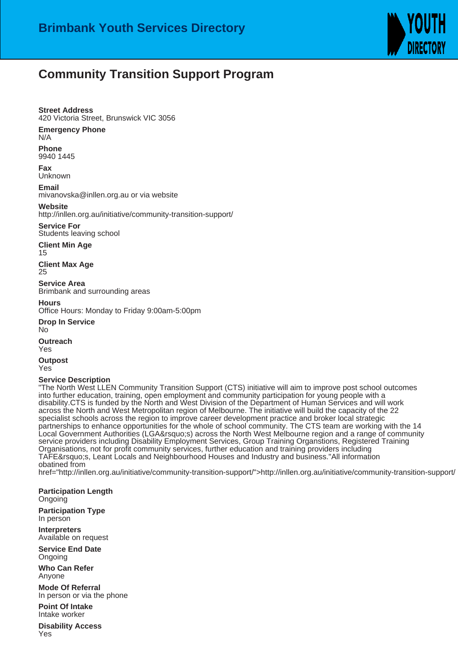

## **Community Transition Support Program**

## **Street Address**

420 Victoria Street, Brunswick VIC 3056

## **Emergency Phone**

N/A

**Phone** 9940 1445

**Fax** Unknown

**Email**

mivanovska@inllen.org.au or via website

**Website**

http://inllen.org.au/initiative/community-transition-support/

**Service For** Students leaving school

**Client Min Age** 15

**Client Max Age** 25

**Service Area** Brimbank and surrounding areas

**Hours**

Office Hours: Monday to Friday 9:00am-5:00pm

**Drop In Service** No **Outreach**

Yes

**Outpost** Yes

## **Service Description**

"The North West LLEN Community Transition Support (CTS) initiative will aim to improve post school outcomes into further education, training, open employment and community participation for young people with a disability. CTS is funded by the North and West Division of the Department of Human Services and will work across the North and West Metropolitan region of Melbourne. The initiative will build the capacity of the 22 specialist schools across the region to improve career development practice and broker local strategic partnerships to enhance opportunities for the whole of school community. The CTS team are working with the 14 Local Government Authorities (LGA's) across the North West Melbourne region and a range of community service providers including Disability Employment Services, Group Training Organstions, Registered Training Organisations, not for profit community services, further education and training providers including TAFE's, Leant Locals and Neighbourhood Houses and Industry and business."All information obatined from

href="http://inllen.org.au/initiative/community-transition-support/">http://inllen.org.au/initiative/community-transition-support/

**Participation Length** Ongoing

**Participation Type** In person

**Interpreters** Available on request

**Service End Date** Ongoing

**Who Can Refer** Anyone

**Mode Of Referral** In person or via the phone

**Point Of Intake** Intake worker

**Disability Access** Yes